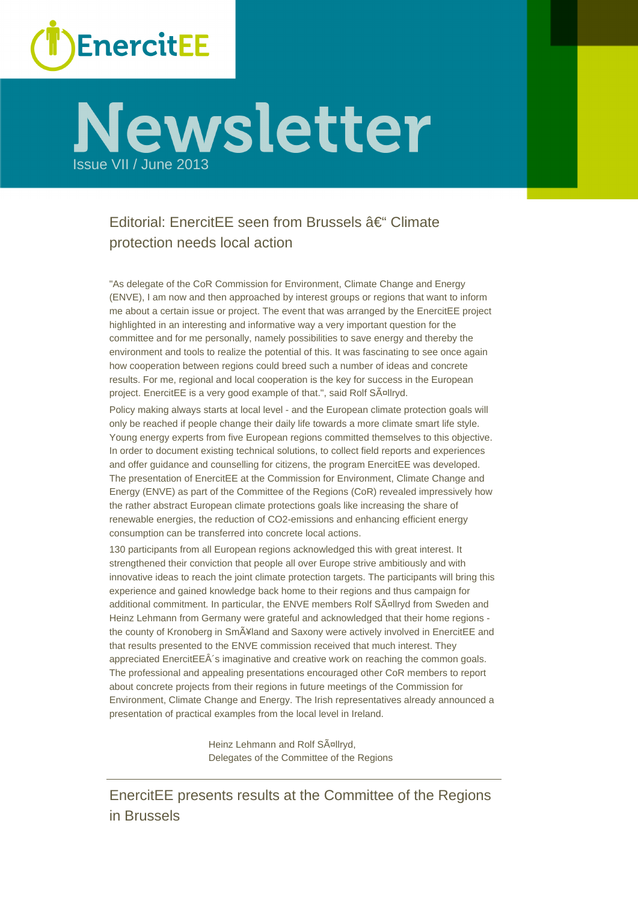

# Newsletter

# Editorial: EnercitEE seen from Brussels  $\hat{a}\in$ " Climate protection needs local action

"As delegate of the CoR Commission for Environment, Climate Change and Energy (ENVE), I am now and then approached by interest groups or regions that want to inform me about a certain issue or project. The event that was arranged by the EnercitEE project highlighted in an interesting and informative way a very important question for the committee and for me personally, namely possibilities to save energy and thereby the environment and tools to realize the potential of this. It was fascinating to see once again how cooperation between regions could breed such a number of ideas and concrete results. For me, regional and local cooperation is the key for success in the European project. EnercitEE is a very good example of that.", said Rolf SA¤llryd.

Policy making always starts at local level - and the European climate protection goals will only be reached if people change their daily life towards a more climate smart life style. Young energy experts from five European regions committed themselves to this objective. In order to document existing technical solutions, to collect field reports and experiences and offer guidance and counselling for citizens, the program EnercitEE was developed. The presentation of EnercitEE at the Commission for Environment, Climate Change and Energy (ENVE) as part of the Committee of the Regions (CoR) revealed impressively how the rather abstract European climate protections goals like increasing the share of renewable energies, the reduction of CO2-emissions and enhancing efficient energy consumption can be transferred into concrete local actions.

130 participants from all European regions acknowledged this with great interest. It strengthened their conviction that people all over Europe strive ambitiously and with innovative ideas to reach the joint climate protection targets. The participants will bring this experience and gained knowledge back home to their regions and thus campaign for additional commitment. In particular, the ENVE members Rolf SA<sup>nl</sup>lryd from Sweden and Heinz Lehmann from Germany were grateful and acknowledged that their home regions the county of Kronoberg in SmA ¥land and Saxony were actively involved in EnercitEE and that results presented to the ENVE commission received that much interest. They appreciated EnercitEE $\hat{A}$ 's imaginative and creative work on reaching the common goals. The professional and appealing presentations encouraged other CoR members to report about concrete projects from their regions in future meetings of the Commission for Environment, Climate Change and Energy. The Irish representatives already announced a presentation of practical examples from the local level in Ireland.

> Heinz Lehmann and Rolf SA¤llryd, Delegates of the Committee of the Regions

EnercitEE presents results at the Committee of the Regions in Brussels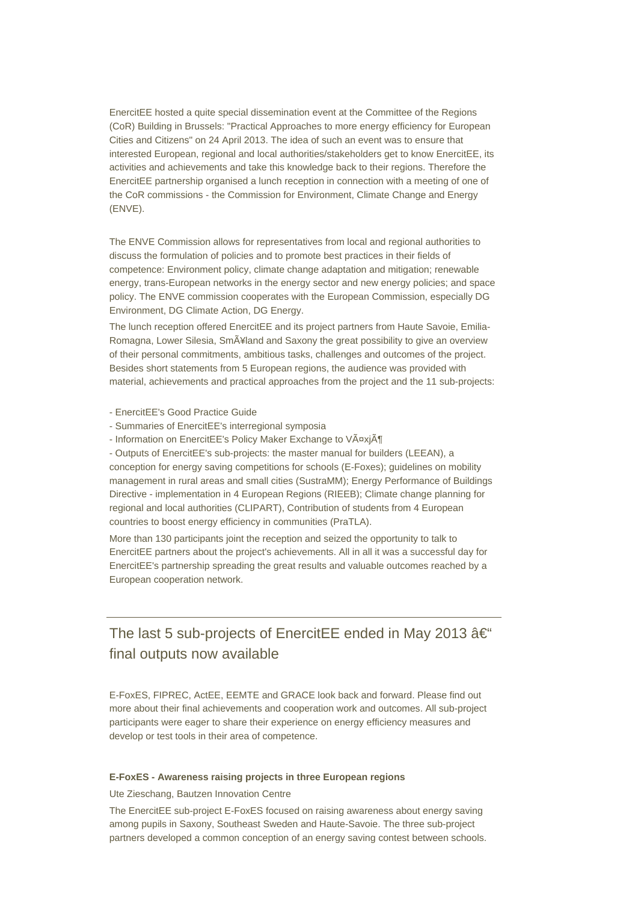EnercitEE hosted a quite special dissemination event at the Committee of the Regions (CoR) Building in Brussels: "Practical Approaches to more energy efficiency for European Cities and Citizens" on 24 April 2013. The idea of such an event was to ensure that interested European, regional and local authorities/stakeholders get to know EnercitEE, its activities and achievements and take this knowledge back to their regions. Therefore the EnercitEE partnership organised a lunch reception in connection with a meeting of one of the CoR commissions - the Commission for Environment, Climate Change and Energy (ENVE).

The ENVE Commission allows for representatives from local and regional authorities to discuss the formulation of policies and to promote best practices in their fields of competence: Environment policy, climate change adaptation and mitigation; renewable energy, trans-European networks in the energy sector and new energy policies; and space policy. The ENVE commission cooperates with the European Commission, especially DG Environment, DG Climate Action, DG Energy.

The lunch reception offered EnercitEE and its project partners from Haute Savoie, Emilia-Romagna, Lower Silesia, Sm $\tilde{A}$ ¥land and Saxony the great possibility to give an overview of their personal commitments, ambitious tasks, challenges and outcomes of the project. Besides short statements from 5 European regions, the audience was provided with material, achievements and practical approaches from the project and the 11 sub-projects:

- EnercitEE's Good Practice Guide
- Summaries of EnercitEE's interregional symposia
- Information on EnercitEE's Policy Maker Exchange to Växjö

- Outputs of EnercitEE's sub-projects: the master manual for builders (LEEAN), a conception for energy saving competitions for schools (E-Foxes); guidelines on mobility management in rural areas and small cities (SustraMM); Energy Performance of Buildings Directive - implementation in 4 European Regions (RIEEB); Climate change planning for regional and local authorities (CLIPART), Contribution of students from 4 European countries to boost energy efficiency in communities (PraTLA).

More than 130 participants joint the reception and seized the opportunity to talk to EnercitEE partners about the project's achievements. All in all it was a successful day for EnercitEE's partnership spreading the great results and valuable outcomes reached by a European cooperation network.

# The last 5 sub-projects of EnercitEE ended in May 2013  $\hat{a} \in \mathcal{C}$ final outputs now available

E-FoxES, FIPREC, ActEE, EEMTE and GRACE look back and forward. Please find out more about their final achievements and cooperation work and outcomes. All sub-project participants were eager to share their experience on energy efficiency measures and develop or test tools in their area of competence.

#### **E-FoxES - Awareness raising projects in three European regions**

Ute Zieschang, Bautzen Innovation Centre

The EnercitEE sub-project E-FoxES focused on raising awareness about energy saving among pupils in Saxony, Southeast Sweden and Haute-Savoie. The three sub-project partners developed a common conception of an energy saving contest between schools.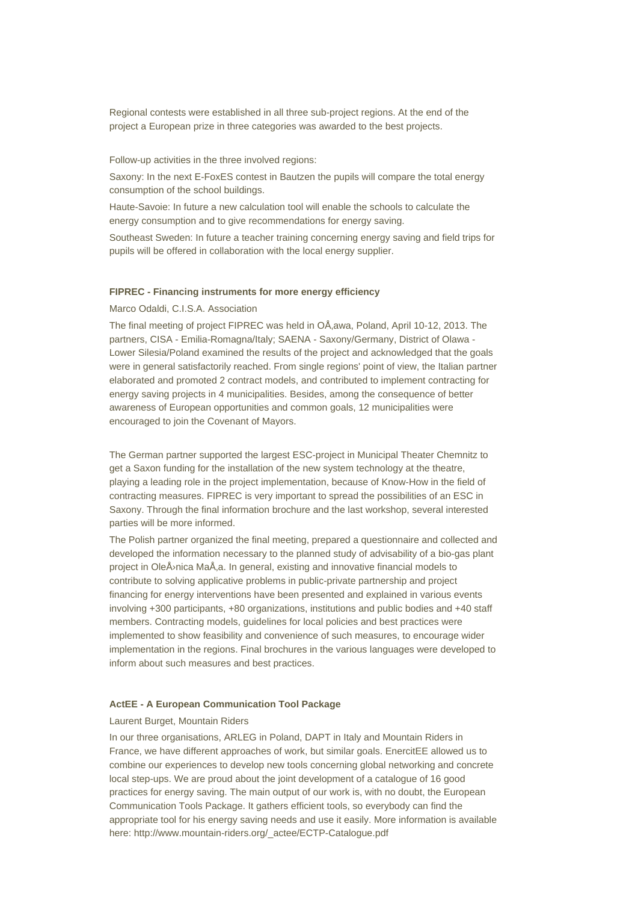Regional contests were established in all three sub-project regions. At the end of the project a European prize in three categories was awarded to the best projects.

Follow-up activities in the three involved regions:

Saxony: In the next E-FoxES contest in Bautzen the pupils will compare the total energy consumption of the school buildings.

Haute-Savoie: In future a new calculation tool will enable the schools to calculate the energy consumption and to give recommendations for energy saving.

Southeast Sweden: In future a teacher training concerning energy saving and field trips for pupils will be offered in collaboration with the local energy supplier.

#### **FIPREC - Financing instruments for more energy efficiency**

Marco Odaldi, C.I.S.A. Association

The final meeting of project FIPREC was held in OÅ awa, Poland, April 10-12, 2013. The partners, CISA - Emilia-Romagna/Italy; SAENA - Saxony/Germany, District of Olawa - Lower Silesia/Poland examined the results of the project and acknowledged that the goals were in general satisfactorily reached. From single regions' point of view, the Italian partner elaborated and promoted 2 contract models, and contributed to implement contracting for energy saving projects in 4 municipalities. Besides, among the consequence of better awareness of European opportunities and common goals, 12 municipalities were encouraged to join the Covenant of Mayors.

The German partner supported the largest ESC-project in Municipal Theater Chemnitz to get a Saxon funding for the installation of the new system technology at the theatre, playing a leading role in the project implementation, because of Know-How in the field of contracting measures. FIPREC is very important to spread the possibilities of an ESC in Saxony. Through the final information brochure and the last workshop, several interested parties will be more informed.

The Polish partner organized the final meeting, prepared a questionnaire and collected and developed the information necessary to the planned study of advisability of a bio-gas plant project in OleÅ<sup>,</sup> nica MaÅ, a. In general, existing and innovative financial models to contribute to solving applicative problems in public-private partnership and project financing for energy interventions have been presented and explained in various events involving +300 participants, +80 organizations, institutions and public bodies and +40 staff members. Contracting models, guidelines for local policies and best practices were implemented to show feasibility and convenience of such measures, to encourage wider implementation in the regions. Final brochures in the various languages were developed to inform about such measures and best practices.

#### **ActEE - A European Communication Tool Package**

#### Laurent Burget, Mountain Riders

In our three organisations, ARLEG in Poland, DAPT in Italy and Mountain Riders in France, we have different approaches of work, but similar goals. EnercitEE allowed us to combine our experiences to develop new tools concerning global networking and concrete local step-ups. We are proud about the joint development of a catalogue of 16 good practices for energy saving. The main output of our work is, with no doubt, the European Communication Tools Package. It gathers efficient tools, so everybody can find the appropriate tool for his energy saving needs and use it easily. More information is available here: http://www.mountain-riders.org/\_actee/ECTP-Catalogue.pdf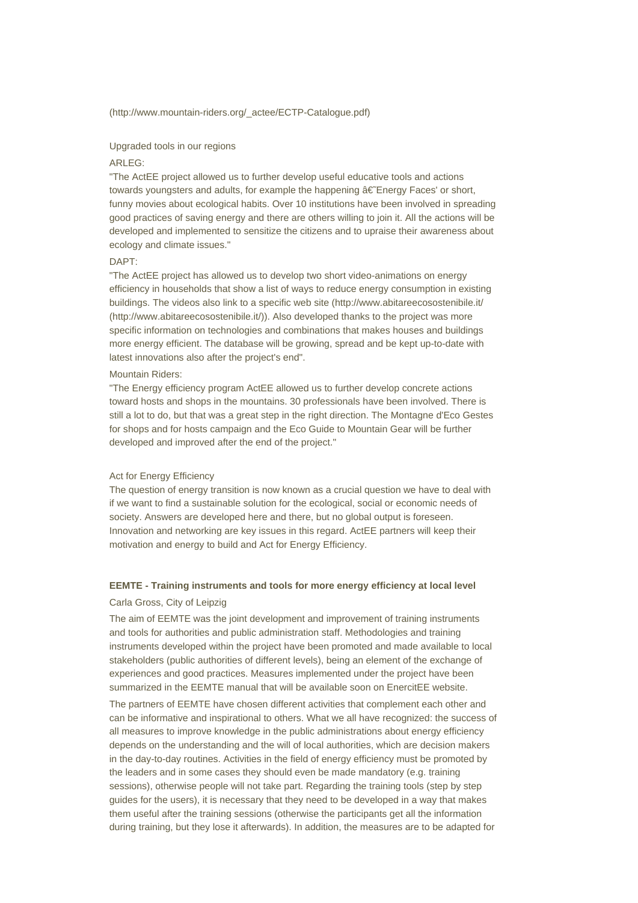#### (http://www.mountain-riders.org/\_actee/ECTP-Catalogue.pdf)

#### Upgraded tools in our regions

#### ARLEG:

"The ActEE project allowed us to further develop useful educative tools and actions towards youngsters and adults, for example the happening  $\hat{a} \in \mathbb{Z}$  Energy Faces' or short, funny movies about ecological habits. Over 10 institutions have been involved in spreading good practices of saving energy and there are others willing to join it. All the actions will be developed and implemented to sensitize the citizens and to upraise their awareness about ecology and climate issues."

#### DAPT:

"The ActEE project has allowed us to develop two short video-animations on energy efficiency in households that show a list of ways to reduce energy consumption in existing buildings. The videos also link to a specific web site (http://www.abitareecosostenibile.it/ (http://www.abitareecosostenibile.it/)). Also developed thanks to the project was more specific information on technologies and combinations that makes houses and buildings more energy efficient. The database will be growing, spread and be kept up-to-date with latest innovations also after the project's end".

#### Mountain Riders:

"The Energy efficiency program ActEE allowed us to further develop concrete actions toward hosts and shops in the mountains. 30 professionals have been involved. There is still a lot to do, but that was a great step in the right direction. The Montagne d'Eco Gestes for shops and for hosts campaign and the Eco Guide to Mountain Gear will be further developed and improved after the end of the project."

#### Act for Energy Efficiency

The question of energy transition is now known as a crucial question we have to deal with if we want to find a sustainable solution for the ecological, social or economic needs of society. Answers are developed here and there, but no global output is foreseen. Innovation and networking are key issues in this regard. ActEE partners will keep their motivation and energy to build and Act for Energy Efficiency.

# **EEMTE - Training instruments and tools for more energy efficiency at local level**

#### Carla Gross, City of Leipzig

The aim of EEMTE was the joint development and improvement of training instruments and tools for authorities and public administration staff. Methodologies and training instruments developed within the project have been promoted and made available to local stakeholders (public authorities of different levels), being an element of the exchange of experiences and good practices. Measures implemented under the project have been summarized in the EEMTE manual that will be available soon on EnercitEE website.

The partners of EEMTE have chosen different activities that complement each other and can be informative and inspirational to others. What we all have recognized: the success of all measures to improve knowledge in the public administrations about energy efficiency depends on the understanding and the will of local authorities, which are decision makers in the day-to-day routines. Activities in the field of energy efficiency must be promoted by the leaders and in some cases they should even be made mandatory (e.g. training sessions), otherwise people will not take part. Regarding the training tools (step by step guides for the users), it is necessary that they need to be developed in a way that makes them useful after the training sessions (otherwise the participants get all the information during training, but they lose it afterwards). In addition, the measures are to be adapted for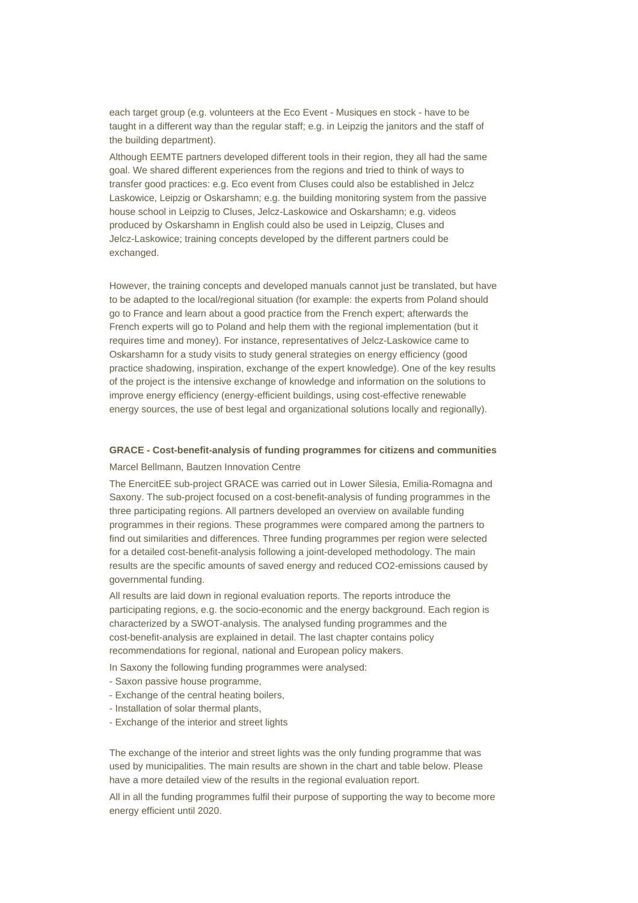each target group (e.g. volunteers at the Eco Event - Musiques en stock - have to be taught in a different way than the regular staff; e.g. in Leipzig the janitors and the staff of the building department).

Although EEMTE partners developed different tools in their region, they all had the same goal. We shared different experiences from the regions and tried to think of ways to transfer good practices: e.g. Eco event from Cluses could also be established in Jelcz Laskowice, Leipzig or Oskarshamn; e.g. the building monitoring system from the passive house school in Leipzig to Cluses, Jelcz-Laskowice and Oskarshamn; e.g. videos produced by Oskarshamn in English could also be used in Leipzig, Cluses and Jelcz-Laskowice; training concepts developed by the different partners could be exchanged.

However, the training concepts and developed manuals cannot just be translated, but have to be adapted to the local/regional situation (for example: the experts from Poland should go to France and learn about a good practice from the French expert; afterwards the French experts will go to Poland and help them with the regional implementation (but it requires time and money). For instance, representatives of Jelcz-Laskowice came to Oskarshamn for a study visits to study general strategies on energy efficiency (good practice shadowing, inspiration, exchange of the expert knowledge). One of the key results of the project is the intensive exchange of knowledge and information on the solutions to improve energy efficiency (energy-efficient buildings, using cost-effective renewable energy sources, the use of best legal and organizational solutions locally and regionally).

#### **GRACE - Cost-benefit-analysis of funding programmes for citizens and communities** Marcel Bellmann, Bautzen Innovation Centre

The EnercitEE sub-project GRACE was carried out in Lower Silesia, Emilia-Romagna and Saxony. The sub-project focused on a cost-benefit-analysis of funding programmes in the three participating regions. All partners developed an overview on available funding programmes in their regions. These programmes were compared among the partners to find out similarities and differences. Three funding programmes per region were selected for a detailed cost-benefit-analysis following a joint-developed methodology. The main results are the specific amounts of saved energy and reduced CO2-emissions caused by governmental funding.

All results are laid down in regional evaluation reports. The reports introduce the participating regions, e.g. the socio-economic and the energy background. Each region is characterized by a SWOT-analysis. The analysed funding programmes and the cost-benefit-analysis are explained in detail. The last chapter contains policy recommendations for regional, national and European policy makers.

In Saxony the following funding programmes were analysed:

- Saxon passive house programme,
- Exchange of the central heating boilers,
- Installation of solar thermal plants,
- Exchange of the interior and street lights

The exchange of the interior and street lights was the only funding programme that was used by municipalities. The main results are shown in the chart and table below. Please have a more detailed view of the results in the regional evaluation report.

All in all the funding programmes fulfil their purpose of supporting the way to become more energy efficient until 2020.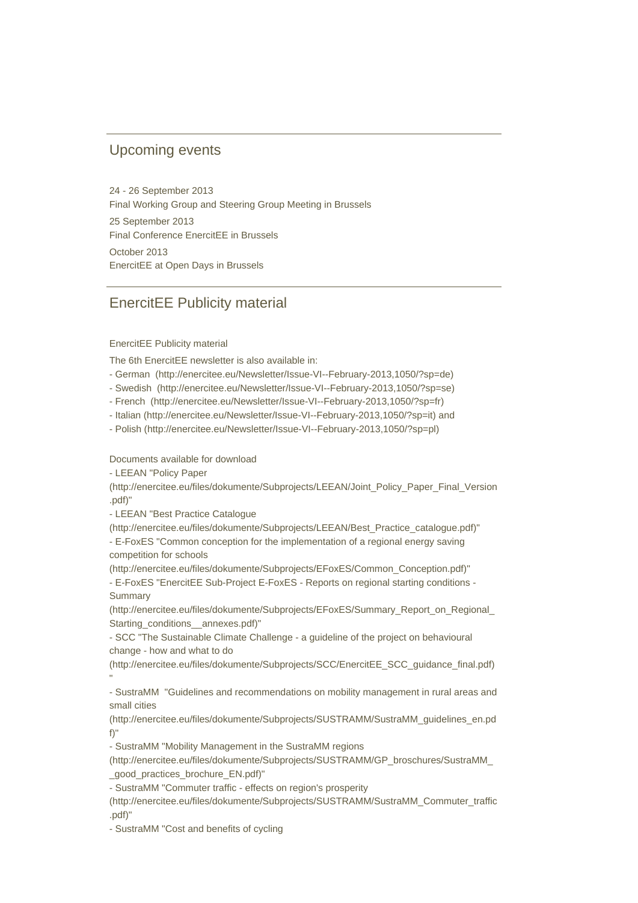### Upcoming events

24 - 26 September 2013 Final Working Group and Steering Group Meeting in Brussels 25 September 2013 Final Conference EnercitEE in Brussels October 2013 EnercitEE at Open Days in Brussels

## EnercitEE Publicity material

#### EnercitEE Publicity material

The 6th EnercitEE newsletter is also available in:

- German (http://enercitee.eu/Newsletter/Issue-VI--February-2013,1050/?sp=de)
- Swedish (http://enercitee.eu/Newsletter/Issue-VI--February-2013,1050/?sp=se)
- French (http://enercitee.eu/Newsletter/Issue-VI--February-2013,1050/?sp=fr)
- Italian (http://enercitee.eu/Newsletter/Issue-VI--February-2013,1050/?sp=it) and
- Polish (http://enercitee.eu/Newsletter/Issue-VI--February-2013,1050/?sp=pl)

#### Documents available for download

- LEEAN "Policy Paper

(http://enercitee.eu/files/dokumente/Subprojects/LEEAN/Joint\_Policy\_Paper\_Final\_Version .pdf)"

- LEEAN "Best Practice Catalogue

(http://enercitee.eu/files/dokumente/Subprojects/LEEAN/Best\_Practice\_catalogue.pdf)" - E-FoxES "Common conception for the implementation of a regional energy saving competition for schools

(http://enercitee.eu/files/dokumente/Subprojects/EFoxES/Common\_Conception.pdf)" - E-FoxES "EnercitEE Sub-Project E-FoxES - Reports on regional starting conditions - **Summary** 

(http://enercitee.eu/files/dokumente/Subprojects/EFoxES/Summary\_Report\_on\_Regional\_ Starting\_conditions\_\_annexes.pdf)"

- SCC "The Sustainable Climate Challenge - a guideline of the project on behavioural change - how and what to do

(http://enercitee.eu/files/dokumente/Subprojects/SCC/EnercitEE\_SCC\_guidance\_final.pdf) "

- SustraMM "Guidelines and recommendations on mobility management in rural areas and small cities

(http://enercitee.eu/files/dokumente/Subprojects/SUSTRAMM/SustraMM\_guidelines\_en.pd f)"

- SustraMM "Mobility Management in the SustraMM regions

(http://enercitee.eu/files/dokumente/Subprojects/SUSTRAMM/GP\_broschures/SustraMM\_ \_good\_practices\_brochure\_EN.pdf)"

- SustraMM "Commuter traffic - effects on region's prosperity

(http://enercitee.eu/files/dokumente/Subprojects/SUSTRAMM/SustraMM\_Commuter\_traffic .pdf)"

- SustraMM "Cost and benefits of cycling